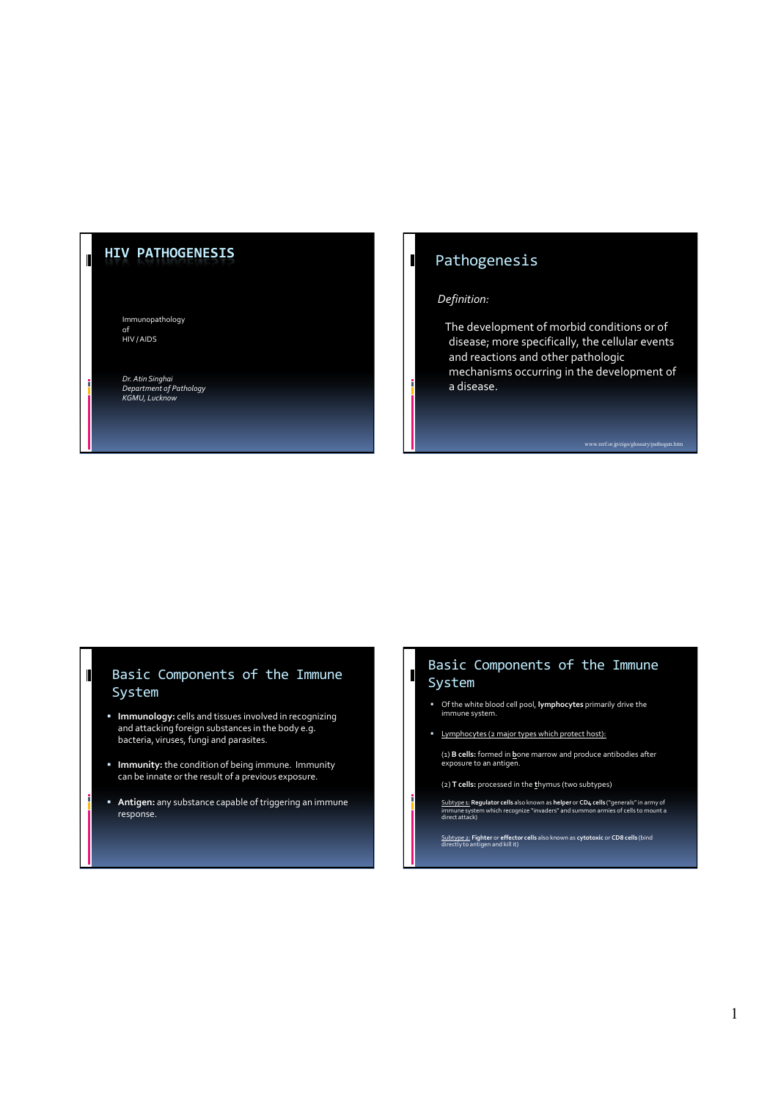#### **HIV PATHOGENESIS**

 $\blacksquare$ 

Immunopathology of<br>HIV / AIDS

*Dr. Atin Singhai Department of Pathology KGMU, Lucknow*

### Pathogenesis

#### *Definition:*

 $\mathbf I$ 

 $\blacksquare$ 

The development of morbid conditions or of disease; more specifically, the cellular events and reactions and other pathologic mechanisms occurring in the development of a disease.

#### Basic Components of the Immune System

- **Immunology:** cells and tissues involved in recognizing and attacking foreign substances in the body e.g. bacteria, viruses, fungi and parasites.
- **Immunity:** the condition of being immune. Immunity can be innate or the result of a previous exposure.
- **Antigen:** any substance capable of triggering an immune response.

#### Basic Components of the Immune System

- Of the white blood cell pool, **lymphocytes** primarily drive the immune system.
- Lymphocytes (2 major types which protect host):
- (1) **B cells:** formed in **b**one marrow and produce antibodies after exposure to an antigen.
- (2) **T cells:** processed in the **t**hymus (two subtypes)
- <u>Subtype 1:</u> **Regulator cells** also known as **helper** or **CD4 cells** ("generals" in army of<br>immune system which recognize "invaders" and summon armies of cells to mount a<br>direct attack)

Subtype 2: **Fighter** or **effector cells** also known as **cytotoxic** or **CD8 cells** (bind directly to antigen and kill it)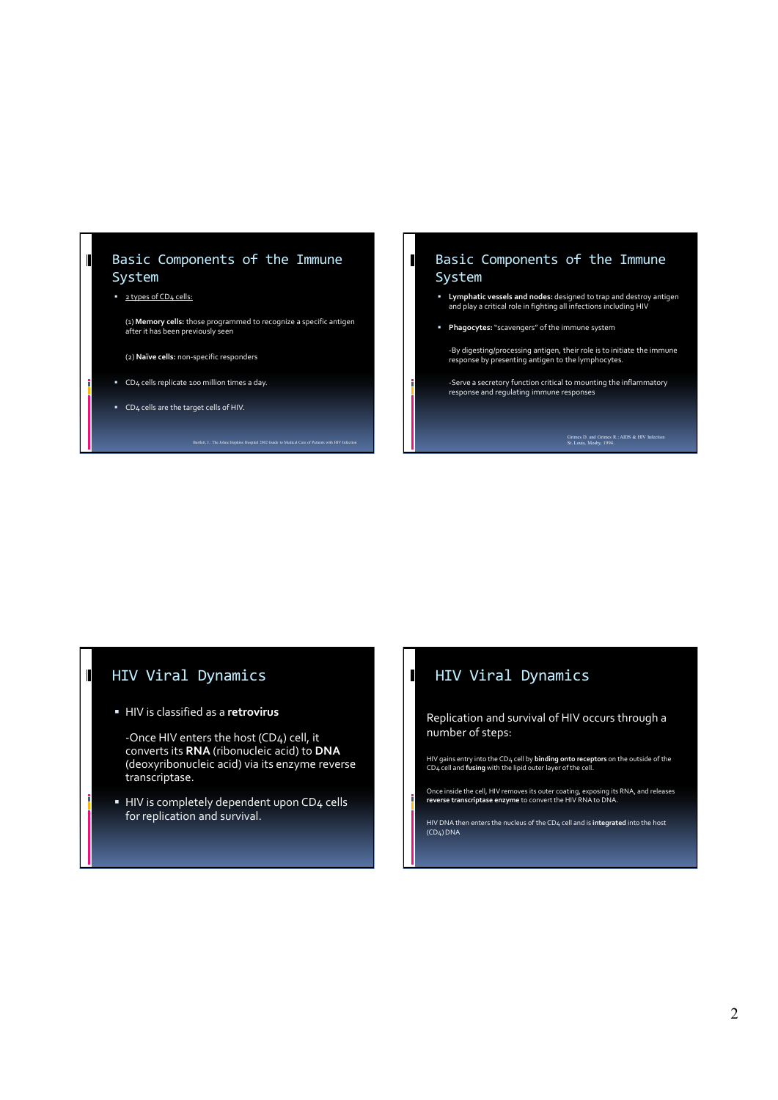#### Basic Components of the Immune System

#### **2** types of CD4 cells:

 $\blacksquare$ 

(1) **Memory cells:** those programmed to recognize a specific antigen after it has been previously seen

Bartlett, J.: The Johns Hopkins Hospital 2002 Guide to Medical Care of P

(2) **Naïve cells:** non-specific responders

- CD4 cells replicate 100 million times a day.
- CD4 cells are the target cells of HIV.

#### Basic Components of the Immune System

- **Lymphatic vessels and nodes:** designed to trap and destroy antigen and play a critical role in fighting all infections including HIV
- **Phagocytes:**"scavengers" of the immune system

 $\mathbf I$ 

-By digesting/processing antigen, their role is to initiate the immune response by presenting antigen to the lymphocytes.

-Serve a secretory function critical to mounting the inflammatory response and regulating immune responses

Grimes D. and Grimes R.: AIDS & HIV Infection St. Louis, Mosby, 1994.

### HIV Viral Dynamics

HIV is classified as a **retrovirus**

-Once HIV enters the host (CD4) cell, it converts its **RNA** (ribonucleic acid) to **DNA** (deoxyribonucleic acid) via its enzyme reverse transcriptase.

HIV is completely dependent upon CD4 cells for replication and survival.

### HIV Viral Dynamics

Replication and survival of HIV occurs through a number of steps:

HIV gains entry into the CD4 cell by **binding onto receptors** on the outside of the CD4 cell and **fusing** with the lipid outer layer of the cell.

Once inside the cell, HIV removes its outer coating, exposing its RNA, and releases **reverse transcriptase enzyme** to convert the HIV RNA to DNA.

HIV DNA then enters the nucleus of the CD<sub>4</sub> cell and is i**ntegrated** into the host<br>(CD<sub>4</sub>) DNA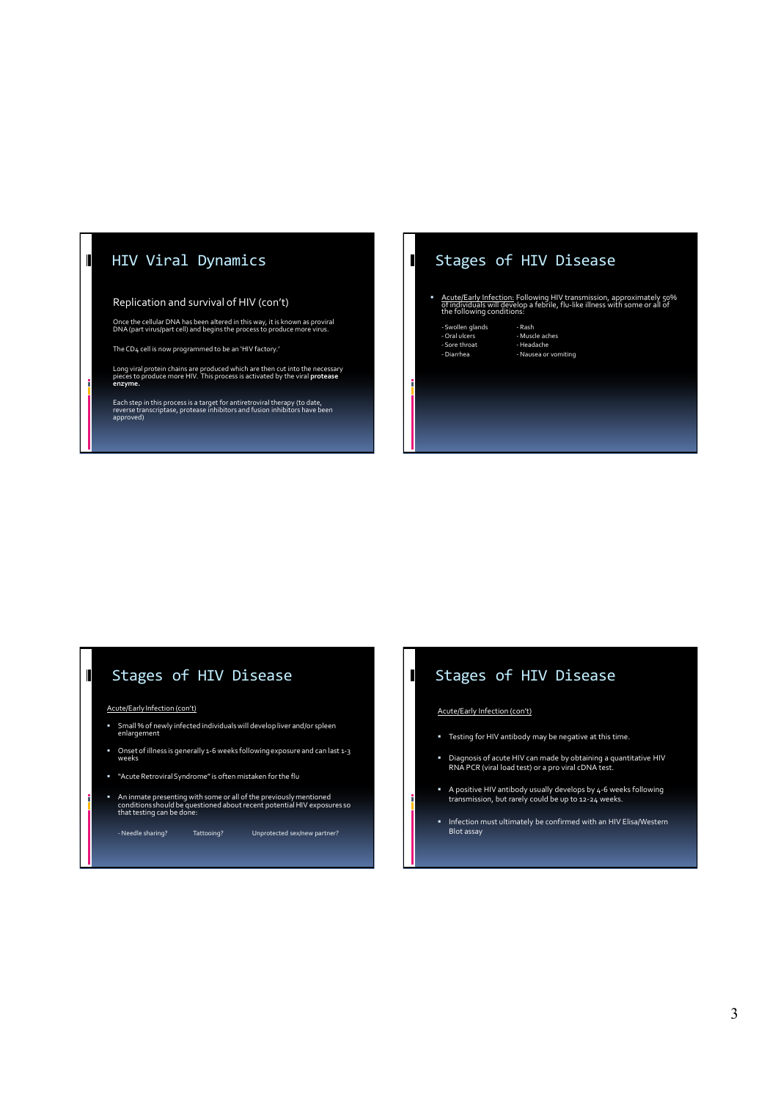## HIV Viral Dynamics

 $\blacksquare$ 

#### Replication and survival of HIV (con't)

Once the cellular DNA has been altered in this way, it is known as proviral DNA (part virus/part cell) and begins the process to produce more virus.

The CD4 cell is now programmed to be an 'HIV factory.'

Long viral protein chains are produced which are then cut into the necessary pieces to produce more HIV. This process is activated by the viral **protease enzyme.**

Each step in this process is a target for antiretroviral therapy (to date, reverse transcriptase, protease inhibitors and fusion inhibitors have been approved)

### Stages of HIV Disease

- **Acute/Early Infection:** Following HIV transmission, approximately 50%<br>of individuals will develop a febrile, flu-like illness with some or all of<br>the following conditions:
	- Swollen glands Rash Oral ulcers Muscle aches Sore throat Headache

 $\mathbf I$ 

- Swollen glands<br>- Oral ulcers - Muscle aches<br>- Sore throat - Headache<br>- Diarrhea - Nausea or vomiting

# Stages of HIV Disease

Acute/Early Infection (con't)

- Small % of newly infected individuals will develop liver and/or spleen enlargement
- Onset of illness is generally 1-6 weeks following exposure and can last 1-3 weeks
- "Acute Retroviral Syndrome" is often mistaken for the flu
- An inmate presenting with some or all of the previously mentioned conditions should be questioned about recent potential HIV exposures so that testing can be done:

- Needle sharing? Tattooing? Unprotected sex/new partner?

# Stages of HIV Disease

Acute/Early Infection (con't)

 $\mathbf I$ 

f

- Testing for HIV antibody may be negative at this time.
- Diagnosis of acute HIV can made by obtaining a quantitative HIV RNA PCR (viral load test) or a pro viral cDNA test.
- A positive HIV antibody usually develops by 4-6 weeks following transmission, but rarely could be up to 12-24 weeks.
- Infection must ultimately be confirmed with an HIV Elisa/Western Blot assay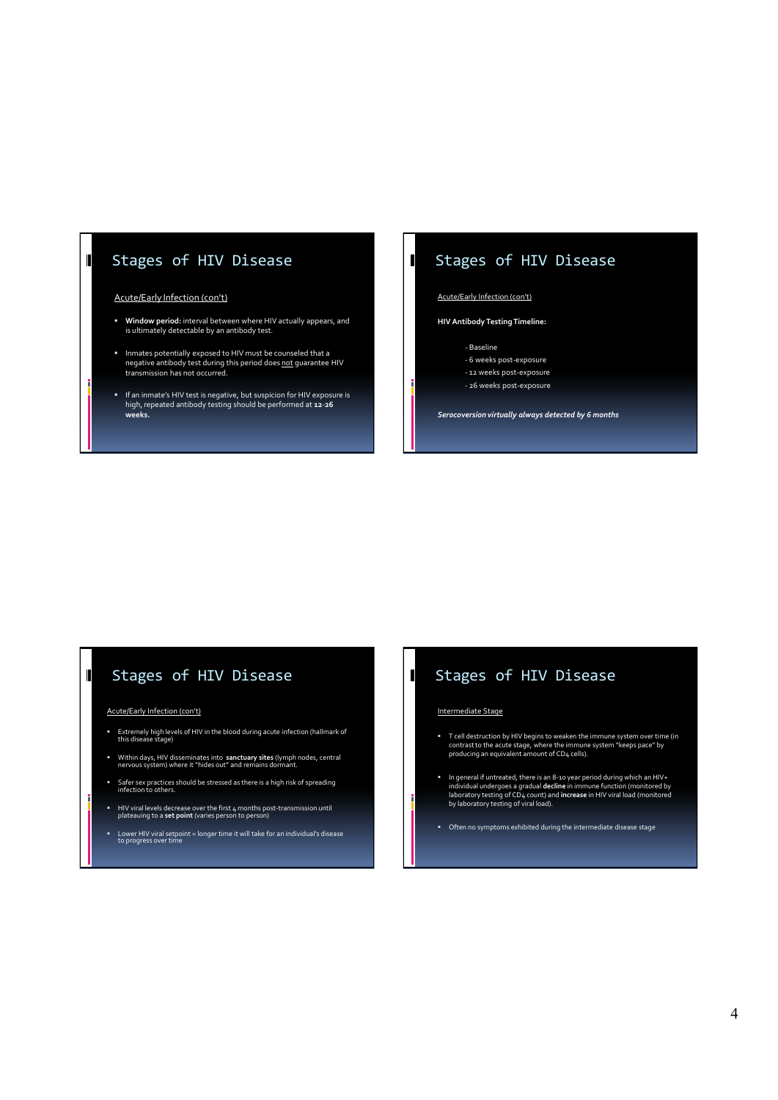### Stages of HIV Disease

#### Acute/Early Infection (con't)

 $\blacksquare$ 

- **Window period:** interval between where HIV actually appears, and is ultimately detectable by an antibody test.
- Inmates potentially exposed to HIV must be counseled that a<br>negative antibody test during this period does **not** guarantee HIV transmission has not occurred.
- If an inmate's HIV test is negative, but suspicion for HIV exposure is high, repeated antibody testing should be performed at **12**-**26 weeks.**

### Stages of HIV Disease

#### Acute/Early Infection (con't)

 $\mathbf I$ 

#### **HIV Antibody Testing Timeline:**

- Baseline
- 6 weeks post-exposure
- 12 weeks post-exposure - 26 weeks post-exposure
- 

*Serocoversion virtually always detected by 6 months*

### Stages of HIV Disease

#### Acute/Early Infection (con't)

÷

- Extremely high levels of HIV in the blood during acute infection (hallmark of this disease stage)
- Within days, HIV disseminates into **sanctuary sites** (lymph nodes, central nervous system) where it "hides out" and remains dormant.
- Safer sex practices should be stressed as there is a high risk of spreading infection to others.
- HIV viral levels decrease over the first 4 months post-transmission until plateauing to a **set point** (varies person to person)
- Lower HIV viral setpoint = longer time it will take for an individual's disease to progress over time

# Stages of HIV Disease

#### Intermediate Stage

 $\mathbf I$ 

f

- T cell destruction by HIV begins to weaken the immune system over time (in contrast to the acute stage, where the immune system "keeps pace" by producing an equivalent amount of CD4 cells).
- In general if untreated, there is an 8-10 year period during which an HIV+<br>individual undergoes a gradual **decline** in immune function (monitored by<br>laboratory testing of CD<sub>4</sub> count) and **increase** in HIV viral load (moni
- Often no symptoms exhibited during the intermediate disease stage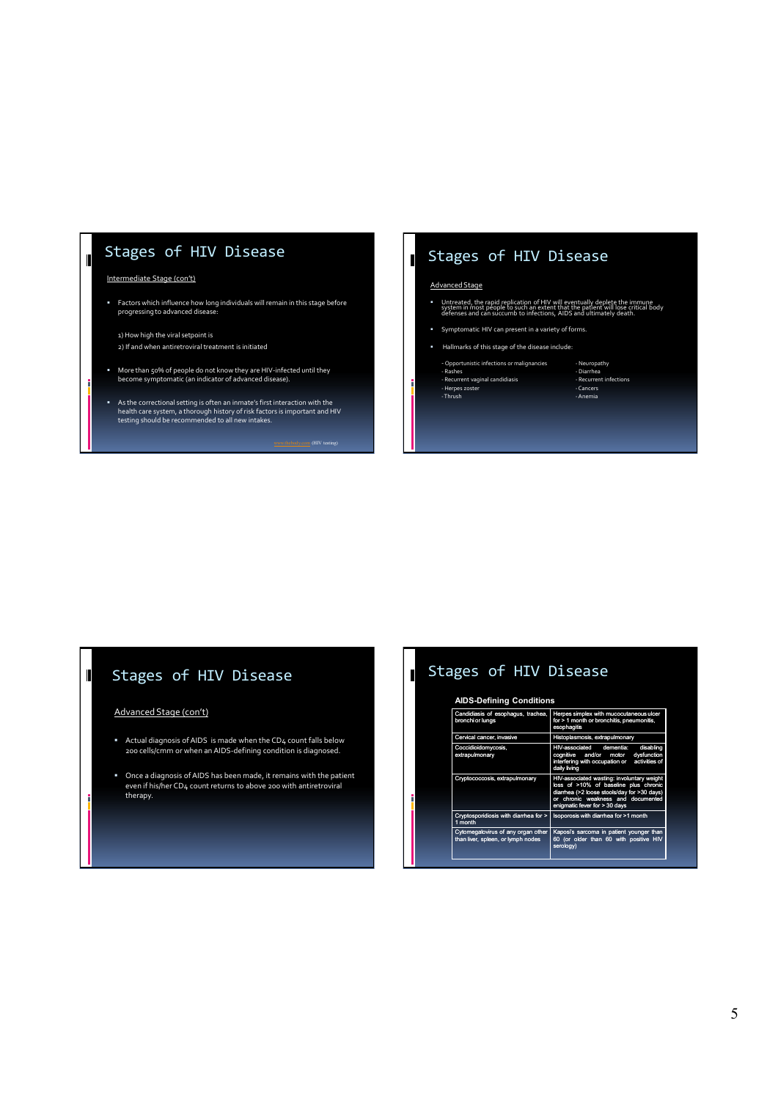### Stages of HIV Disease

#### Intermediate Stage (con't)

 $\mathbf{I}$ 

Factors which influence how long individuals will remain in this stage before progressing to advanced disease:

1) How high the viral setpoint is 2) If and when antiretroviral treatment is initiated

- More than 50% of people do not know they are HIV-infected until they become symptomatic (an indicator of advanced disease).
- As the correctional setting is often an inmate's first interaction with the health care system, a thorough history of risk factors is important and HIV testing should be recommended to all new intakes.

### Stages of HIV Disease

#### Advanced Stage

 $\mathbf{I}$ 

- Untreated, the rapid replication of HIV will eventually deplete the immune system in most people to such an extent that the patient will lose critical body defenses and can succumb to infections, AIDS and ultimately death.
- Symptomatic HIV can present in a variety of forms.
- Hallmarks of this stage of the disease include:
- Opportunistic infections or malignancies<br>- Rashes

- Thrush - Anemia

# - Rashes - Diarrhea - Recurrent vaginal candidiasis - Recurrent infections - Herpes zoster - Cancers

# Stages of HIV Disease

#### Advanced Stage (con't)

- Actual diagnosis of AIDS is made when the CD4 count falls below 200 cells/cmm or when an AIDS-defining condition is diagnosed.
- Once a diagnosis of AIDS has been made, it remains with the patient even if his/her CD4 count returns to above 200 with antiretroviral therapy.

#### Stages of HIV Disease  $\mathbf I$

#### **AIDS-Defining Conditions**

| Candidiasis of esophagus, trachea,<br>bronchi or lungs                   | Herpes simplex with mucocutaneous ulcer<br>for > 1 month or bronchitis, pneumonitis,<br>esophagitis                                                                                                                 |
|--------------------------------------------------------------------------|---------------------------------------------------------------------------------------------------------------------------------------------------------------------------------------------------------------------|
| Cervical cancer, invasive                                                | Histoplasmosis, extrapulmonary                                                                                                                                                                                      |
| Coccidioidomycosis,<br>extrapulmonary                                    | disabling<br><b>HIV-associated</b><br>dementia:<br>and/or<br>dysfunction<br>cognitive<br>motor<br>interfering with occupation or<br>activities of<br>daily living                                                   |
| Cryptococcosis, extrapulmonary                                           | HIV-associated wasting: involuntary weight<br>loss of >10% of baseline plus chronic<br>diarrhea (>2 loose stools/day for >30 days)<br>chronic weakness and documented<br><b>or</b><br>enigmatic fever for > 30 days |
| Cryptosporidiosis with diarrhea for ><br>1 month                         | Isoporosis with diarrhea for >1 month                                                                                                                                                                               |
| Cytomegalovirus of any organ other<br>than liver, spleen, or lymph nodes | Kaposi's sarcoma in patient younger than<br>60 (or older than 60 with positive HIV<br>serology)                                                                                                                     |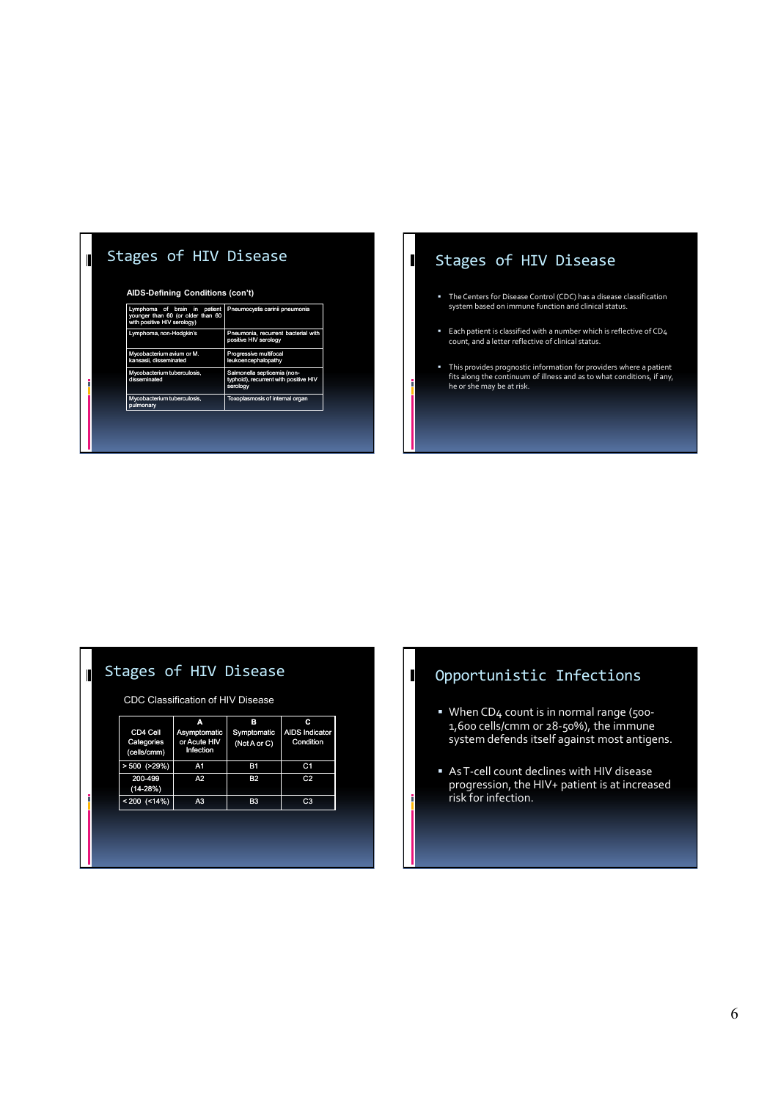# Stages of HIV Disease

 $\blacksquare$ 

 $\blacksquare$ 

#### **AIDS-Defining Conditions (con't)**

| Lymphoma of brain in<br>patient<br>younger than 60 (or older than 60<br>with positive HIV serology) | Pneumocystis carinii pneumonia                                                   |
|-----------------------------------------------------------------------------------------------------|----------------------------------------------------------------------------------|
| Lymphoma, non-Hodgkin's                                                                             | Pneumonia, recurrent bacterial with<br>positive HIV serology                     |
| Mycobacterium avium or M.<br>kansasii, disseminated                                                 | Progressive multifocal<br>leukoencephalopathy                                    |
| Mycobacterium tuberculosis,<br>disseminated                                                         | Salmonella septicemia (non-<br>typhoid), recurrent with positive HIV<br>serology |
| Mycobacterium tuberculosis,<br>pulmonary                                                            | Toxoplasmosis of internal organ                                                  |

# Stages of HIV Disease

 $\mathbf I$ 

 $\blacksquare$ 

F

- The Centers for Disease Control (CDC) has a disease classification system based on immune function and clinical status.
- Each patient is classified with a number which is reflective of CD4 count, and a letter reflective of clinical status.
- This provides prognostic information for providers where a patient fits along the continuum of illness and as to what conditions, if any, he or she may be at risk.

## Stages of HIV Disease

CDC Classification of HIV Disease

| CD4 Cell<br>Categories<br>(cells/cmm) | Α<br>Asymptomatic<br>or Acute HIV<br>Infection | в<br>Symptomatic<br>(Not A or C) | с<br><b>AIDS Indicator</b><br>Condition |
|---------------------------------------|------------------------------------------------|----------------------------------|-----------------------------------------|
| $> 500$ ( $>29\%)$                    | A1                                             | <b>B1</b>                        | C <sub>1</sub>                          |
| 200-499<br>$(14-28%)$                 | A <sub>2</sub>                                 | <b>B2</b>                        | C <sub>2</sub>                          |
| $< 200$ (<14%)                        | A <sub>3</sub>                                 | B <sub>3</sub>                   | C3                                      |

# Opportunistic Infections

- When CD4 count is in normal range (500- 1,600 cells/cmm or 28-50%), the immune system defends itself against most antigens.
- As T-cell count declines with HIV disease progression, the HIV+ patient is at increased risk for infection.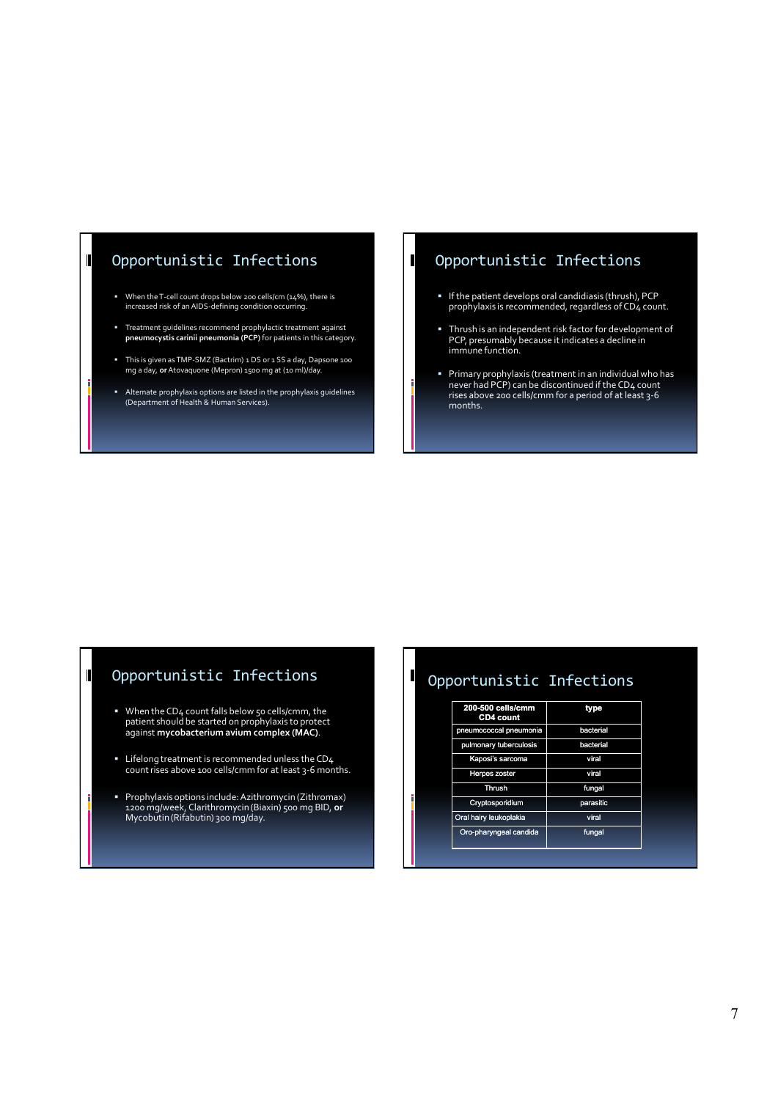### Opportunistic Infections

- When the T-cell count drops below 200 cells/cm (14%), there is increased risk of an AIDS-defining condition occurring.
- Treatment guidelines recommend prophylactic treatment against **pneumocystis carinii pneumonia (PCP)** for patients in this category.
- This is given as TMP-SMZ (Bactrim) 1 DS or 1 SS a day, Dapsone 100 mg a day, **or**Atovaquone (Mepron) 1500 mg at (10 ml)/day.
- Alternate prophylaxis options are listed in the prophylaxis guidelines (Department of Health & Human Services).

### Opportunistic Infections

 $\mathbf I$ 

I

- If the patient develops oral candidiasis (thrush), PCP prophylaxis is recommended, regardless of CD4 count.
- Thrush is an independent risk factor for development of PCP, presumably because it indicates a decline in immune function.
- Primary prophylaxis (treatment in an individual who has never had PCP) can be discontinued if the CD4 count rises above 200 cells/cmm for a period of at least 3-6 months.

#### Opportunistic Infections

- When the CD4 count falls below 50 cells/cmm, the patient should be started on prophylaxis to protect against **mycobacterium avium complex (MAC)**.
- **E** Lifelong treatment is recommended unless the CD<sub>4</sub> count rises above 100 cells/cmm for at least 3-6 months.
- Prophylaxis options include: Azithromycin (Zithromax) 1200 mg/week, Clarithromycin (Biaxin) 500 mg BID, **or**  Mycobutin (Rifabutin) 300 mg/day.

### Opportunistic Infections

| 200-500 cells/cmm<br><b>CD4 count</b> | type      |
|---------------------------------------|-----------|
| pneumococcal pneumonia                | bacterial |
| pulmonary tuberculosis                | bacterial |
| Kaposi's sarcoma                      | viral     |
| <b>Herpes zoster</b>                  | viral     |
| <b>Thrush</b>                         | fungal    |
| Cryptosporidium                       | parasitic |
| Oral hairy leukoplakia                | viral     |
| Oro-pharyngeal candida                | fungal    |